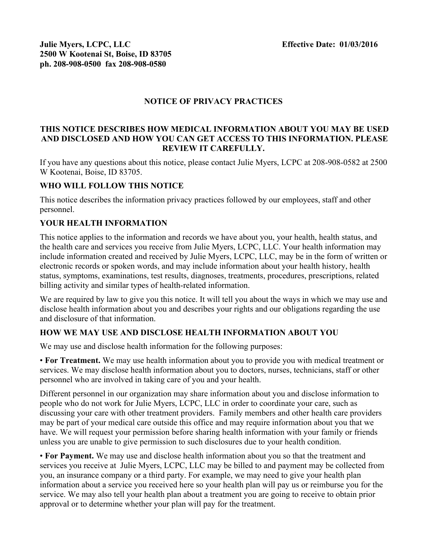### **NOTICE OF PRIVACY PRACTICES**

#### **THIS NOTICE DESCRIBES HOW MEDICAL INFORMATION ABOUT YOU MAY BE USED AND DISCLOSED AND HOW YOU CAN GET ACCESS TO THIS INFORMATION. PLEASE REVIEW IT CAREFULLY.**

If you have any questions about this notice, please contact Julie Myers, LCPC at 208-908-0582 at 2500 W Kootenai, Boise, ID 83705.

## **WHO WILL FOLLOW THIS NOTICE**

This notice describes the information privacy practices followed by our employees, staff and other personnel.

### **YOUR HEALTH INFORMATION**

This notice applies to the information and records we have about you, your health, health status, and the health care and services you receive from Julie Myers, LCPC, LLC. Your health information may include information created and received by Julie Myers, LCPC, LLC, may be in the form of written or electronic records or spoken words, and may include information about your health history, health status, symptoms, examinations, test results, diagnoses, treatments, procedures, prescriptions, related billing activity and similar types of health-related information.

We are required by law to give you this notice. It will tell you about the ways in which we may use and disclose health information about you and describes your rights and our obligations regarding the use and disclosure of that information.

### **HOW WE MAY USE AND DISCLOSE HEALTH INFORMATION ABOUT YOU**

We may use and disclose health information for the following purposes:

• **For Treatment.** We may use health information about you to provide you with medical treatment or services. We may disclose health information about you to doctors, nurses, technicians, staff or other personnel who are involved in taking care of you and your health.

Different personnel in our organization may share information about you and disclose information to people who do not work for Julie Myers, LCPC, LLC in order to coordinate your care, such as discussing your care with other treatment providers. Family members and other health care providers may be part of your medical care outside this office and may require information about you that we have. We will request your permission before sharing health information with your family or friends unless you are unable to give permission to such disclosures due to your health condition.

• **For Payment.** We may use and disclose health information about you so that the treatment and services you receive at Julie Myers, LCPC, LLC may be billed to and payment may be collected from you, an insurance company or a third party. For example, we may need to give your health plan information about a service you received here so your health plan will pay us or reimburse you for the service. We may also tell your health plan about a treatment you are going to receive to obtain prior approval or to determine whether your plan will pay for the treatment.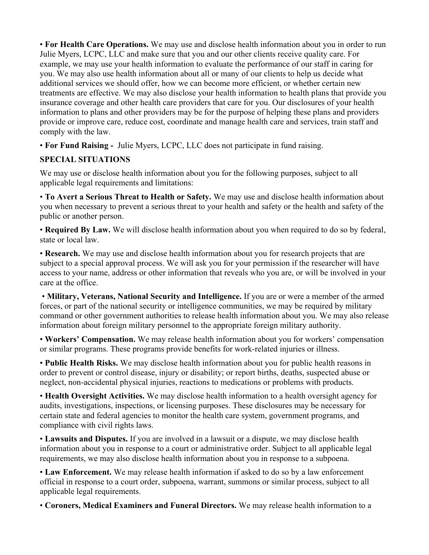• **For Health Care Operations.** We may use and disclose health information about you in order to run Julie Myers, LCPC, LLC and make sure that you and our other clients receive quality care. For example, we may use your health information to evaluate the performance of our staff in caring for you. We may also use health information about all or many of our clients to help us decide what additional services we should offer, how we can become more efficient, or whether certain new treatments are effective. We may also disclose your health information to health plans that provide you insurance coverage and other health care providers that care for you. Our disclosures of your health information to plans and other providers may be for the purpose of helping these plans and providers provide or improve care, reduce cost, coordinate and manage health care and services, train staff and comply with the law.

• **For Fund Raising -** Julie Myers, LCPC, LLC does not participate in fund raising.

## **SPECIAL SITUATIONS**

We may use or disclose health information about you for the following purposes, subject to all applicable legal requirements and limitations:

• **To Avert a Serious Threat to Health or Safety.** We may use and disclose health information about you when necessary to prevent a serious threat to your health and safety or the health and safety of the public or another person.

• **Required By Law.** We will disclose health information about you when required to do so by federal, state or local law.

• **Research.** We may use and disclose health information about you for research projects that are subject to a special approval process. We will ask you for your permission if the researcher will have access to your name, address or other information that reveals who you are, or will be involved in your care at the office.

 • **Military, Veterans, National Security and Intelligence.** If you are or were a member of the armed forces, or part of the national security or intelligence communities, we may be required by military command or other government authorities to release health information about you. We may also release information about foreign military personnel to the appropriate foreign military authority.

• **Workers' Compensation.** We may release health information about you for workers' compensation or similar programs. These programs provide benefits for work-related injuries or illness.

• **Public Health Risks.** We may disclose health information about you for public health reasons in order to prevent or control disease, injury or disability; or report births, deaths, suspected abuse or neglect, non-accidental physical injuries, reactions to medications or problems with products.

• **Health Oversight Activities.** We may disclose health information to a health oversight agency for audits, investigations, inspections, or licensing purposes. These disclosures may be necessary for certain state and federal agencies to monitor the health care system, government programs, and compliance with civil rights laws.

• **Lawsuits and Disputes.** If you are involved in a lawsuit or a dispute, we may disclose health information about you in response to a court or administrative order. Subject to all applicable legal requirements, we may also disclose health information about you in response to a subpoena.

• **Law Enforcement.** We may release health information if asked to do so by a law enforcement official in response to a court order, subpoena, warrant, summons or similar process, subject to all applicable legal requirements.

• **Coroners, Medical Examiners and Funeral Directors.** We may release health information to a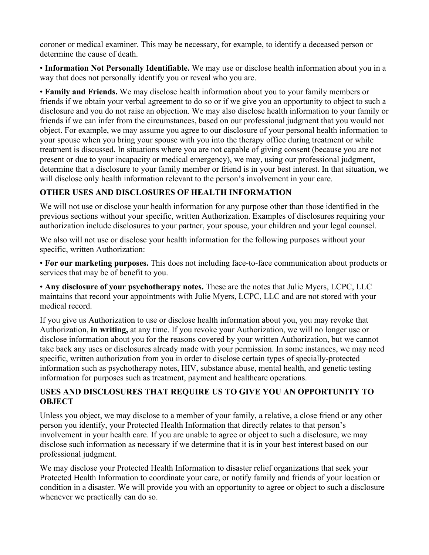coroner or medical examiner. This may be necessary, for example, to identify a deceased person or determine the cause of death.

• **Information Not Personally Identifiable.** We may use or disclose health information about you in a way that does not personally identify you or reveal who you are.

• **Family and Friends.** We may disclose health information about you to your family members or friends if we obtain your verbal agreement to do so or if we give you an opportunity to object to such a disclosure and you do not raise an objection. We may also disclose health information to your family or friends if we can infer from the circumstances, based on our professional judgment that you would not object. For example, we may assume you agree to our disclosure of your personal health information to your spouse when you bring your spouse with you into the therapy office during treatment or while treatment is discussed. In situations where you are not capable of giving consent (because you are not present or due to your incapacity or medical emergency), we may, using our professional judgment, determine that a disclosure to your family member or friend is in your best interest. In that situation, we will disclose only health information relevant to the person's involvement in your care.

## **OTHER USES AND DISCLOSURES OF HEALTH INFORMATION**

We will not use or disclose your health information for any purpose other than those identified in the previous sections without your specific, written Authorization. Examples of disclosures requiring your authorization include disclosures to your partner, your spouse, your children and your legal counsel.

We also will not use or disclose your health information for the following purposes without your specific, written Authorization:

• **For our marketing purposes.** This does not including face-to-face communication about products or services that may be of benefit to you.

• **Any disclosure of your psychotherapy notes.** These are the notes that Julie Myers, LCPC, LLC maintains that record your appointments with Julie Myers, LCPC, LLC and are not stored with your medical record.

If you give us Authorization to use or disclose health information about you, you may revoke that Authorization, **in writing,** at any time. If you revoke your Authorization, we will no longer use or disclose information about you for the reasons covered by your written Authorization, but we cannot take back any uses or disclosures already made with your permission. In some instances, we may need specific, written authorization from you in order to disclose certain types of specially-protected information such as psychotherapy notes, HIV, substance abuse, mental health, and genetic testing information for purposes such as treatment, payment and healthcare operations.

## **USES AND DISCLOSURES THAT REQUIRE US TO GIVE YOU AN OPPORTUNITY TO OBJECT**

Unless you object, we may disclose to a member of your family, a relative, a close friend or any other person you identify, your Protected Health Information that directly relates to that person's involvement in your health care. If you are unable to agree or object to such a disclosure, we may disclose such information as necessary if we determine that it is in your best interest based on our professional judgment.

We may disclose your Protected Health Information to disaster relief organizations that seek your Protected Health Information to coordinate your care, or notify family and friends of your location or condition in a disaster. We will provide you with an opportunity to agree or object to such a disclosure whenever we practically can do so.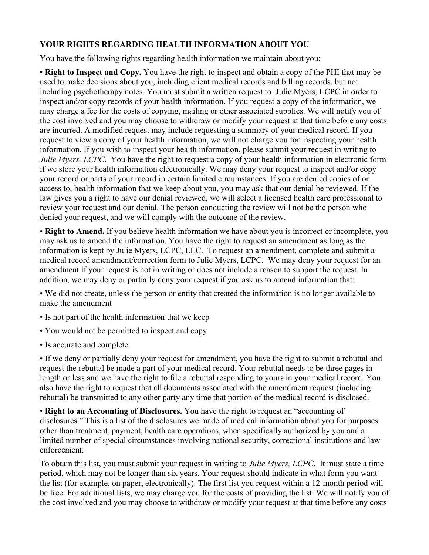## **YOUR RIGHTS REGARDING HEALTH INFORMATION ABOUT YOU**

You have the following rights regarding health information we maintain about you:

• **Right to Inspect and Copy.** You have the right to inspect and obtain a copy of the PHI that may be used to make decisions about you, including client medical records and billing records, but not including psychotherapy notes. You must submit a written request to Julie Myers, LCPC in order to inspect and/or copy records of your health information. If you request a copy of the information, we may charge a fee for the costs of copying, mailing or other associated supplies. We will notify you of the cost involved and you may choose to withdraw or modify your request at that time before any costs are incurred. A modified request may include requesting a summary of your medical record. If you request to view a copy of your health information, we will not charge you for inspecting your health information. If you wish to inspect your health information, please submit your request in writing to *Julie Myers, LCPC*. You have the right to request a copy of your health information in electronic form if we store your health information electronically. We may deny your request to inspect and/or copy your record or parts of your record in certain limited circumstances. If you are denied copies of or access to, health information that we keep about you, you may ask that our denial be reviewed. If the law gives you a right to have our denial reviewed, we will select a licensed health care professional to review your request and our denial. The person conducting the review will not be the person who denied your request, and we will comply with the outcome of the review.

• **Right to Amend.** If you believe health information we have about you is incorrect or incomplete, you may ask us to amend the information. You have the right to request an amendment as long as the information is kept by Julie Myers, LCPC, LLC. To request an amendment, complete and submit a medical record amendment/correction form to Julie Myers, LCPC. We may deny your request for an amendment if your request is not in writing or does not include a reason to support the request. In addition, we may deny or partially deny your request if you ask us to amend information that:

• We did not create, unless the person or entity that created the information is no longer available to make the amendment

- Is not part of the health information that we keep
- You would not be permitted to inspect and copy
- Is accurate and complete.

• If we deny or partially deny your request for amendment, you have the right to submit a rebuttal and request the rebuttal be made a part of your medical record. Your rebuttal needs to be three pages in length or less and we have the right to file a rebuttal responding to yours in your medical record. You also have the right to request that all documents associated with the amendment request (including rebuttal) be transmitted to any other party any time that portion of the medical record is disclosed.

• **Right to an Accounting of Disclosures.** You have the right to request an "accounting of disclosures." This is a list of the disclosures we made of medical information about you for purposes other than treatment, payment, health care operations, when specifically authorized by you and a limited number of special circumstances involving national security, correctional institutions and law enforcement.

To obtain this list, you must submit your request in writing to *Julie Myers, LCPC*. It must state a time period, which may not be longer than six years. Your request should indicate in what form you want the list (for example, on paper, electronically). The first list you request within a 12-month period will be free. For additional lists, we may charge you for the costs of providing the list. We will notify you of the cost involved and you may choose to withdraw or modify your request at that time before any costs